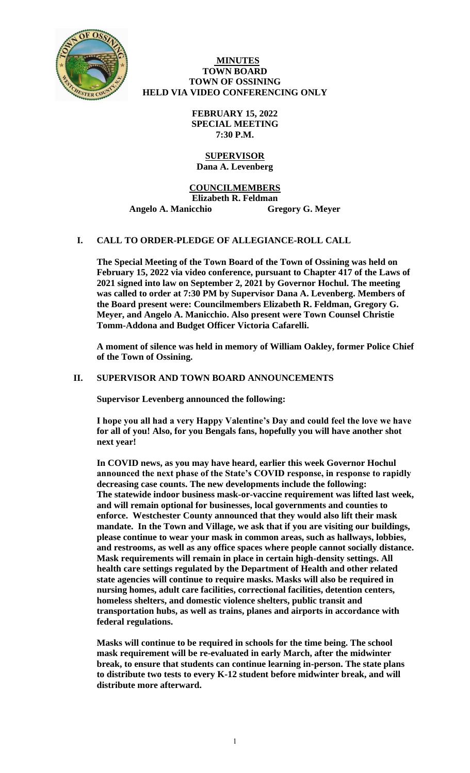

## **MINUTES TOWN BOARD TOWN OF OSSINING HELD VIA VIDEO CONFERENCING ONLY**

**FEBRUARY 15, 2022 SPECIAL MEETING 7:30 P.M.**

## **SUPERVISOR Dana A. Levenberg**

# **COUNCILMEMBERS**

**Elizabeth R. Feldman** 

**Angelo A. Manicchio Gregory G. Meyer**

# **I. CALL TO ORDER-PLEDGE OF ALLEGIANCE-ROLL CALL**

**The Special Meeting of the Town Board of the Town of Ossining was held on February 15, 2022 via video conference, pursuant to Chapter 417 of the Laws of 2021 signed into law on September 2, 2021 by Governor Hochul. The meeting was called to order at 7:30 PM by Supervisor Dana A. Levenberg. Members of the Board present were: Councilmembers Elizabeth R. Feldman, Gregory G. Meyer, and Angelo A. Manicchio. Also present were Town Counsel Christie Tomm-Addona and Budget Officer Victoria Cafarelli.**

**A moment of silence was held in memory of William Oakley, former Police Chief of the Town of Ossining.** 

## **II. SUPERVISOR AND TOWN BOARD ANNOUNCEMENTS**

**Supervisor Levenberg announced the following:**

**I hope you all had a very Happy Valentine's Day and could feel the love we have for all of you! Also, for you Bengals fans, hopefully you will have another shot next year!** 

**In COVID news, as you may have heard, earlier this week Governor Hochul announced the next phase of the State's COVID response, in response to rapidly decreasing case counts. The new developments include the following: The statewide indoor business mask-or-vaccine requirement was lifted last week, and will remain optional for businesses, local governments and counties to enforce. Westchester County announced that they would also lift their mask mandate. In the Town and Village, we ask that if you are visiting our buildings, please continue to wear your mask in common areas, such as hallways, lobbies, and restrooms, as well as any office spaces where people cannot socially distance. Mask requirements will remain in place in certain high-density settings. All health care settings regulated by the Department of Health and other related state agencies will continue to require masks. Masks will also be required in nursing homes, adult care facilities, correctional facilities, detention centers, homeless shelters, and domestic violence shelters, public transit and transportation hubs, as well as trains, planes and airports in accordance with federal regulations.**

**Masks will continue to be required in schools for the time being. The school mask requirement will be re-evaluated in early March, after the midwinter break, to ensure that students can continue learning in-person. The state plans to distribute two tests to every K-12 student before midwinter break, and will distribute more afterward.**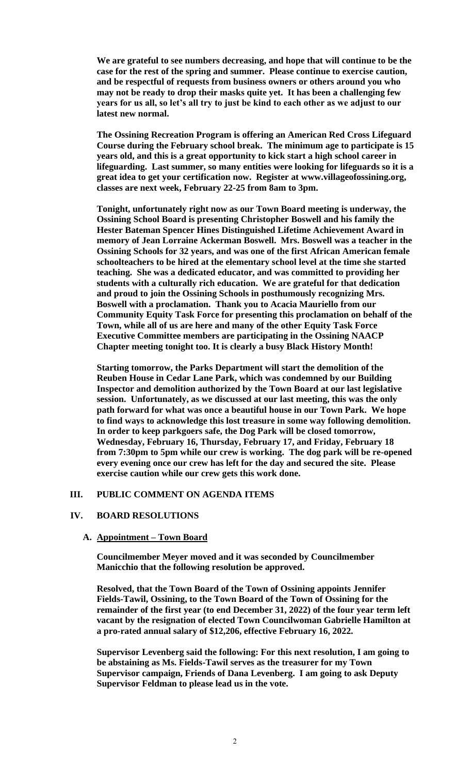**We are grateful to see numbers decreasing, and hope that will continue to be the case for the rest of the spring and summer. Please continue to exercise caution, and be respectful of requests from business owners or others around you who may not be ready to drop their masks quite yet. It has been a challenging few years for us all, so let's all try to just be kind to each other as we adjust to our latest new normal.** 

**The Ossining Recreation Program is offering an American Red Cross Lifeguard Course during the February school break. The minimum age to participate is 15 years old, and this is a great opportunity to kick start a high school career in lifeguarding. Last summer, so many entities were looking for lifeguards so it is a great idea to get your certification now. Register at www.villageofossining.org, classes are next week, February 22-25 from 8am to 3pm.** 

**Tonight, unfortunately right now as our Town Board meeting is underway, the Ossining School Board is presenting Christopher Boswell and his family the Hester Bateman Spencer Hines Distinguished Lifetime Achievement Award in memory of Jean Lorraine Ackerman Boswell. Mrs. Boswell was a teacher in the Ossining Schools for 32 years, and was one of the first African American female schoolteachers to be hired at the elementary school level at the time she started teaching. She was a dedicated educator, and was committed to providing her students with a culturally rich education. We are grateful for that dedication and proud to join the Ossining Schools in posthumously recognizing Mrs. Boswell with a proclamation. Thank you to Acacia Mauriello from our Community Equity Task Force for presenting this proclamation on behalf of the Town, while all of us are here and many of the other Equity Task Force Executive Committee members are participating in the Ossining NAACP Chapter meeting tonight too. It is clearly a busy Black History Month!**

**Starting tomorrow, the Parks Department will start the demolition of the Reuben House in Cedar Lane Park, which was condemned by our Building Inspector and demolition authorized by the Town Board at our last legislative session. Unfortunately, as we discussed at our last meeting, this was the only path forward for what was once a beautiful house in our Town Park. We hope to find ways to acknowledge this lost treasure in some way following demolition. In order to keep parkgoers safe, the Dog Park will be closed tomorrow, Wednesday, February 16, Thursday, February 17, and Friday, February 18 from 7:30pm to 5pm while our crew is working. The dog park will be re-opened every evening once our crew has left for the day and secured the site. Please exercise caution while our crew gets this work done.**

### **III. PUBLIC COMMENT ON AGENDA ITEMS**

#### **IV. BOARD RESOLUTIONS**

#### **A. Appointment – Town Board**

**Councilmember Meyer moved and it was seconded by Councilmember Manicchio that the following resolution be approved.**

**Resolved, that the Town Board of the Town of Ossining appoints Jennifer Fields-Tawil, Ossining, to the Town Board of the Town of Ossining for the remainder of the first year (to end December 31, 2022) of the four year term left vacant by the resignation of elected Town Councilwoman Gabrielle Hamilton at a pro-rated annual salary of \$12,206, effective February 16, 2022.** 

**Supervisor Levenberg said the following: For this next resolution, I am going to be abstaining as Ms. Fields-Tawil serves as the treasurer for my Town Supervisor campaign, Friends of Dana Levenberg. I am going to ask Deputy Supervisor Feldman to please lead us in the vote.**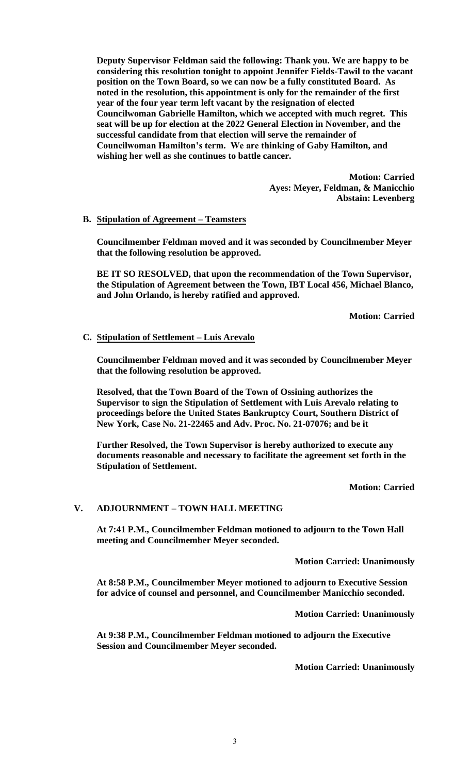**Deputy Supervisor Feldman said the following: Thank you. We are happy to be considering this resolution tonight to appoint Jennifer Fields-Tawil to the vacant position on the Town Board, so we can now be a fully constituted Board. As noted in the resolution, this appointment is only for the remainder of the first year of the four year term left vacant by the resignation of elected Councilwoman Gabrielle Hamilton, which we accepted with much regret. This seat will be up for election at the 2022 General Election in November, and the successful candidate from that election will serve the remainder of Councilwoman Hamilton's term. We are thinking of Gaby Hamilton, and wishing her well as she continues to battle cancer.** 

> **Motion: Carried Ayes: Meyer, Feldman, & Manicchio Abstain: Levenberg**

## **B. Stipulation of Agreement – Teamsters**

**Councilmember Feldman moved and it was seconded by Councilmember Meyer that the following resolution be approved.**

**BE IT SO RESOLVED, that upon the recommendation of the Town Supervisor, the Stipulation of Agreement between the Town, IBT Local 456, Michael Blanco, and John Orlando, is hereby ratified and approved.** 

**Motion: Carried**

### **C. Stipulation of Settlement – Luis Arevalo**

**Councilmember Feldman moved and it was seconded by Councilmember Meyer that the following resolution be approved.**

**Resolved, that the Town Board of the Town of Ossining authorizes the Supervisor to sign the Stipulation of Settlement with Luis Arevalo relating to proceedings before the United States Bankruptcy Court, Southern District of New York, Case No. 21-22465 and Adv. Proc. No. 21-07076; and be it**

**Further Resolved, the Town Supervisor is hereby authorized to execute any documents reasonable and necessary to facilitate the agreement set forth in the Stipulation of Settlement.** 

**Motion: Carried**

## **V. ADJOURNMENT – TOWN HALL MEETING**

**At 7:41 P.M., Councilmember Feldman motioned to adjourn to the Town Hall meeting and Councilmember Meyer seconded.** 

**Motion Carried: Unanimously**

**At 8:58 P.M., Councilmember Meyer motioned to adjourn to Executive Session for advice of counsel and personnel, and Councilmember Manicchio seconded.**

**Motion Carried: Unanimously**

**At 9:38 P.M., Councilmember Feldman motioned to adjourn the Executive Session and Councilmember Meyer seconded.** 

**Motion Carried: Unanimously**